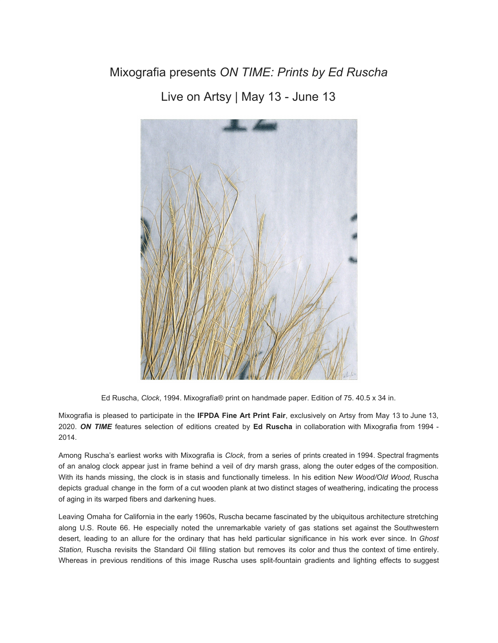## Mixografia presents *ON TIME: Prints by Ed Ruscha*

Live on Artsy | May 13 - June 13



Ed Ruscha, *Clock*, 1994. Mixografía® print on handmade paper. Edition of 75. 40.5 x 34 in.

Mixografia is pleased to participate in the **IFPDA Fine Art Print Fair**, exclusively on Artsy from May 13 to June 13, 2020. *ON TIME* features selection of editions created by **Ed Ruscha** in collaboration with Mixografia from 1994 - 2014.

Among Ruscha's earliest works with Mixografia is *Clock*, from a series of prints created in 1994. Spectral fragments of an analog clock appear just in frame behind a veil of dry marsh grass, along the outer edges of the composition. With its hands missing, the clock is in stasis and functionally timeless. In his edition N*ew Wood/Old Wood,* Ruscha depicts gradual change in the form of a cut wooden plank at two distinct stages of weathering, indicating the process of aging in its warped fibers and darkening hues.

Leaving Omaha for California in the early 1960s, Ruscha became fascinated by the ubiquitous architecture stretching along U.S. Route 66. He especially noted the unremarkable variety of gas stations set against the Southwestern desert, leading to an allure for the ordinary that has held particular significance in his work ever since. In *Ghost Station,* Ruscha revisits the Standard Oil filling station but removes its color and thus the context of time entirely. Whereas in previous renditions of this image Ruscha uses split-fountain gradients and lighting effects to suggest